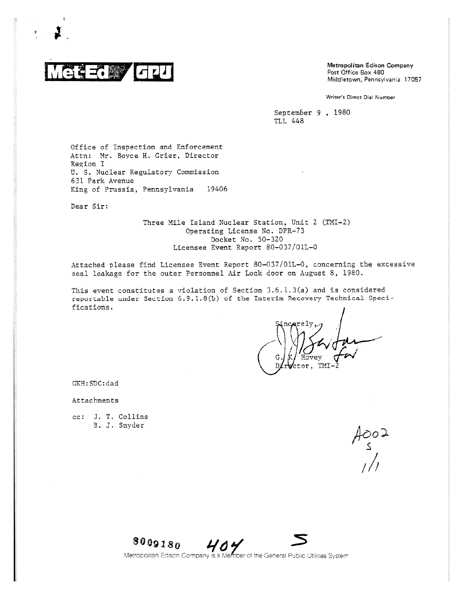

**GPO** Metropolitan Edison Company<br>
Post Office Box 480<br>
Middletown, Pennsylvania 17057 Post Office Box 480

Writer's Direct Dial Number

September 9 , 1980 TLL 448

Office of Inspection and Enforcement Attn: Mr. Boyce H. Grier, Director Region I U. S. Nuclear Regulatory Commission 631 Park Avenue King of Prussia, Pennsylvania 19406

Dear Sir:

Three Mile Island Nuclear Station, Unit 2 (EMI-2) Operating License No. DPR-73 Docket No. 50-320 Licensee Event Report 80-037/01L-0

Attached please find Licensee Event Report 80-037/01L-0, concerning the excessive seal leakage for the outer Personnel Air Lock door on August 8, 1980.

This event constitutes a violation of Section 3.6.1.3(a) and is considered reportable under Section 6.9.1.8(b) of the Interim Recovery Technical Specifications.

GKH:SDC:dad

Attachments

cc: J. T. Collins B. J. Snyder

 $A$ 002<br> $\frac{1}{2}$ 



Metropolitan Edison Company is a Member of the General Public Utilities System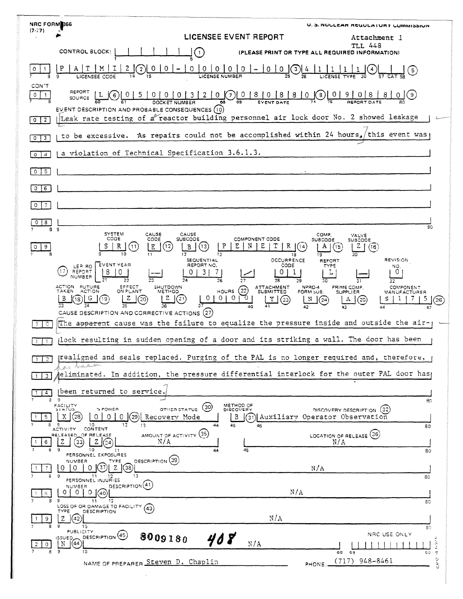| NRC FORM366<br>(7.77)        | U. S. NULLEAR REQUEATURT CUMMISSION                                                                                                                                                                                                                                                               |
|------------------------------|---------------------------------------------------------------------------------------------------------------------------------------------------------------------------------------------------------------------------------------------------------------------------------------------------|
|                              | LICENSEE EVENT REPORT<br>Attachment 1<br><b>TLL 448</b>                                                                                                                                                                                                                                           |
|                              | CONTROL BLOCK:<br>(PLEASE PRINT OR TYPE ALL REQUIRED INFORMATION)<br>$\mathbf{1}$                                                                                                                                                                                                                 |
|                              | P<br>Т<br>M<br>$\overline{0}$<br>0<br>0<br>0<br>$\mathbf 0$<br>0<br>$\overline{\mathbf{z}}$<br>0<br>$\circ$<br>$\mathbf{3}$<br>$\mathfrak{s}$<br>LICENSE NUMBER<br>LICENSEE CODE                                                                                                                  |
| CON'T<br>$\circ$<br>-1       | REPORT<br>$3 \mid 2 \mid$<br>(7) 0 8 0 8 8 0 (8)<br>$\mathbf{0}$<br>$\begin{array}{c} \fbox{0} & \fbox{9} \end{array}$<br>5<br>0 <sub>1</sub><br> 0 <br>8<br>$8^{\circ}$<br>0(9)<br>$0 \mid 0$<br>$6 \,$<br>SOURCE<br><b>DOCKET</b><br>68                                                         |
| $\overline{2}$<br>0          | EVENT DESCRIPTION AND PROBABLE CONSEQUENCES (10)<br>Leak rate testing of a reactor building personnel air lock door No. 2 showed leakage                                                                                                                                                          |
| $\frac{1}{3}$<br>$^{\circ}$  | to be excessive. As repairs could not be accomplished within 24 hours, this event was                                                                                                                                                                                                             |
| $\boldsymbol{A}$<br>$\Omega$ | a violation of Technical Specification 3.6.1.3.                                                                                                                                                                                                                                                   |
| 5<br>0                       |                                                                                                                                                                                                                                                                                                   |
| 0<br>6                       |                                                                                                                                                                                                                                                                                                   |
| 7<br>$\circ$                 |                                                                                                                                                                                                                                                                                                   |
| $\circ$<br>8<br>89           | 30                                                                                                                                                                                                                                                                                                |
| 9                            | <b>SYSTEM</b><br>CAUSE<br>CAUSE<br>COMP.<br>VALVE<br>CODE<br>CODE<br><b>SUBCODE</b><br>COMPONENT CODE<br>SUBCODE<br>зизсоре<br>S<br>P<br>R<br>Ε<br>т<br>R<br>(12)<br>N<br>A  <br>Z<br>11<br>Ε<br>В<br>[13]<br>(14<br>(15<br>(16<br>10<br>12<br>13<br>19<br>18                                     |
|                              | OCCURRENCE<br>REVISION<br>SEQUENTIAL<br>REFORT<br>EVENT YEAR<br>REPORT NO.<br>CODE<br>TYPE<br>LER RO<br>NO.<br>17<br>REPORT<br>0<br>7<br>0<br>3<br>L<br>NUMBER                                                                                                                                    |
|                              | 26<br>22<br>27<br>28<br>29<br>30<br>31<br>32<br>ACTION FUTURE<br>EFFECT<br>SHUTDOWN<br>ATTACHMENT<br>NPRD-4<br>PRIME COMP.<br><b>COMPONENT</b><br>(22)<br><b>TAKEN</b><br><b>ACTION</b><br>ON PLANT<br><b>HOURS</b><br>METHOD<br><b>SUBMITTED</b><br>FORM SUB.<br><b>SUPPLIER</b><br>MANUFACTURER |
|                              | $\circ$<br>0<br>z<br>0<br>O<br>$^{21}$<br>Y<br>5<br>20<br>N<br>G<br>19<br>18<br>A<br>(25)<br>(23)<br>(24)<br>26)<br>40<br>42<br>43<br>47<br>(27)                                                                                                                                                  |
| $\circ$                      | CAUSE DESCRIPTION AND CORRECTIVE ACTIONS<br>The apparent cause was the failure to equalize the pressure inside and outside the air-                                                                                                                                                               |
|                              | (lock resulting in sudden opening of a door and its striking a wall. The door has been                                                                                                                                                                                                            |
| $1 \mid 2$                   | realigned and seals replaced. Purging of the PAL is no longer required and, therefore,<br>hear to destination                                                                                                                                                                                     |
| 3                            | eliminated. In addition, the pressure differential interlock for the outer PAL door has                                                                                                                                                                                                           |
| 8                            | been returned to service.<br>$\circ$<br>80                                                                                                                                                                                                                                                        |
| 5.                           | METHOD OF<br>DISCOVERY<br>FACILITY<br>SIATUS<br>(30)<br>% POWER<br>OTHER STATUS<br>DISCOVERY DESCRIPTION (32)<br>(29)<br>(28<br>0<br>B<br>(31) Auxiliary Operator Observation<br>X.<br>0.<br>Recovery Mode                                                                                        |
| 6                            | 10<br>12<br>13<br>45<br>44<br>46<br>80<br>CONTENT<br><b>ACTIVITY</b><br>AMOUNT OF ACTIVITY (35)<br>LOCATION OF RELEASE (36)<br>RELEASED OF RELEASE<br>N/A<br>Ζ<br>33<br>z<br>N/A                                                                                                                  |
| 7                            | 9<br>10<br>45<br>44<br>80<br>11<br>PERSONNEL EXPOSURES<br>DESCRIPTION (39)<br>NUMBER<br>TYPE<br>(38)<br>- Z II<br>N/A<br>$\Omega$<br>0<br>$\cup$                                                                                                                                                  |
| 39                           | 11<br>13<br>12<br>80<br>PERSONNEL INJURIES<br>DESCRIPTION <sup>(41)</sup><br>NUMBER                                                                                                                                                                                                               |
|                              | N/A<br>$\Omega$<br>$\Omega$<br>40<br>9<br>12<br>11<br>80                                                                                                                                                                                                                                          |
| 9                            | LOSS OF OR DAMAGE TO FACILITY<br>(43)<br>TYPE<br>DESCRIPTION<br>N/A<br>z<br>42<br>9<br>10                                                                                                                                                                                                         |
| $\sigma$<br>8.               | 80<br><b>PUBLICITY</b><br>NRC USE ONLY<br>DESCRIPTION <sup>(45)</sup><br>8009180<br>408<br><b>ISSUED_</b><br>$1 - 9.26$<br>N/A<br>N<br>(44)<br>- 9<br>10<br>66<br>69<br>80                                                                                                                        |
|                              | $\overline{\tau}$<br>$\frac{1}{2}$<br>$(717)$ 948-8461<br>NAME OF PREPARER Steven D. Chaplin<br>PHONE:                                                                                                                                                                                            |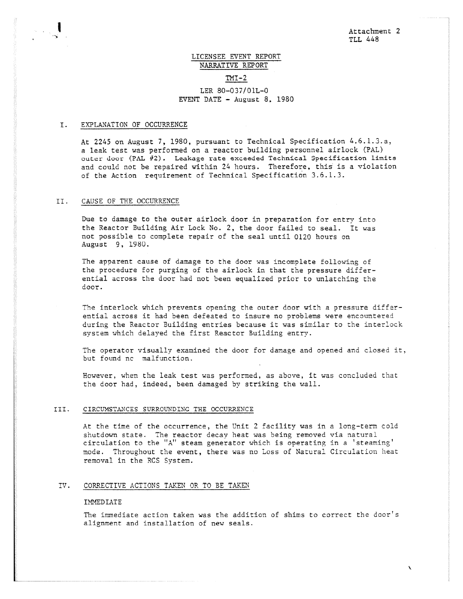# LICENSEE EVENT REPORT NARRATIVE REPORT  $TMI-2$ LER 80-037/01L-0 EVENT DATE - August 8, 1980

## I. EXPLANATION OF OCCURRENCE

At 2245 on August 7, 1980, pursuant to Technical Specification 4.6.1.3.a, a leak test was performed on a reactor building personnel airlock (PAL) outer door (PAL #2). Leakage rate exceeded Technical Specification limits and could not be repaired within 24 hours. Therefore, this is a violation of the Action requirement of Technical Specification 3.6.1.3.

## II. CAUSE OF THE OCCURRENCE

Due to damage to the outer airlock door in preparation for entry into the Reactor Building Air Lock No. 2, the door failed to seal. It was not possible to complete repair of the seal until 0120 hours on August 9, 1980.

The apparent cause of damage to the door was incomplete following of the procedure for purging of the airlock in that the pressure differential across the door had not been equalized prior to unlatching the door.

The interlock which prevents opening the outer door with a pressure differential across it had been defeated to insure no problems were encountered during the Reactor Building entries because it was similar to the interlock system which delayed the first Reactor Building entry.

The operator visually examined the door for damage and opened and closed it, but found no malfunction.

However, when the leak test was performed, as above, it was concluded that the door had, indeed, been damaged by striking the wall.

#### III. CIRCUMSTANCES SURROUNDING THE OCCURRENCE

At the time of the occurrence, the Unit 2 facility was in a long-term cold shutdown state. The reactor decay heat was being removed via natural circulation to the "A" steam generator which is operating in a 'steaming' mode. Throughout the event, there was no Loss of Natural Circulation heat removal in the RCS System.

## IV. CORRECTIVE ACTIONS TAKEN OR TO BE TAKEN

## **IMMEDIATE**

The immediate action taken was the addition of shims to correct the door's alignment and installation of new seals.

 $\overline{\phantom{0}}$